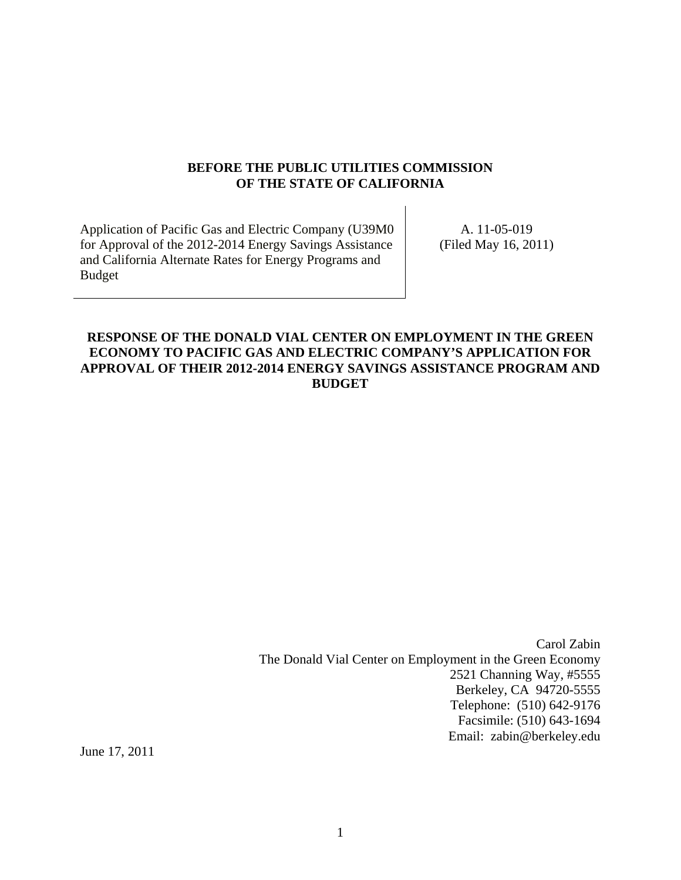#### **BEFORE THE PUBLIC UTILITIES COMMISSION OF THE STATE OF CALIFORNIA**

Application of Pacific Gas and Electric Company (U39M0 for Approval of the 2012-2014 Energy Savings Assistance and California Alternate Rates for Energy Programs and Budget

A. 11-05-019 (Filed May 16, 2011)

# **RESPONSE OF THE DONALD VIAL CENTER ON EMPLOYMENT IN THE GREEN ECONOMY TO PACIFIC GAS AND ELECTRIC COMPANY'S APPLICATION FOR APPROVAL OF THEIR 2012-2014 ENERGY SAVINGS ASSISTANCE PROGRAM AND BUDGET**

Carol Zabin The Donald Vial Center on Employment in the Green Economy 2521 Channing Way, #5555 Berkeley, CA 94720-5555 Telephone: (510) 642-9176 Facsimile: (510) 643-1694 Email: zabin@berkeley.edu

June 17, 2011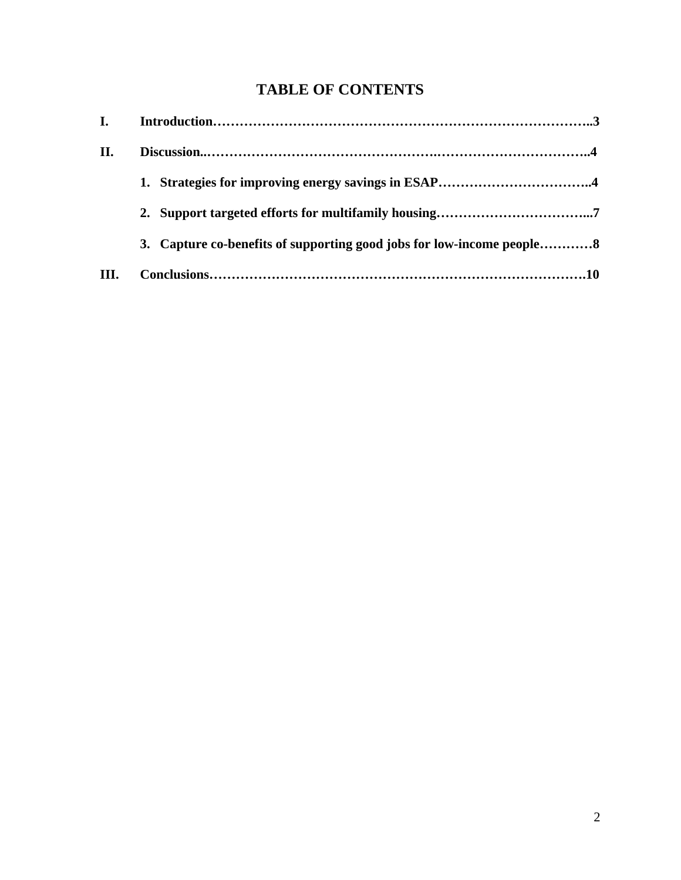# **TABLE OF CONTENTS**

| <b>I.</b> |                                                                       |
|-----------|-----------------------------------------------------------------------|
| П.        |                                                                       |
|           |                                                                       |
|           |                                                                       |
|           | 3. Capture co-benefits of supporting good jobs for low-income people8 |
| Ш.        |                                                                       |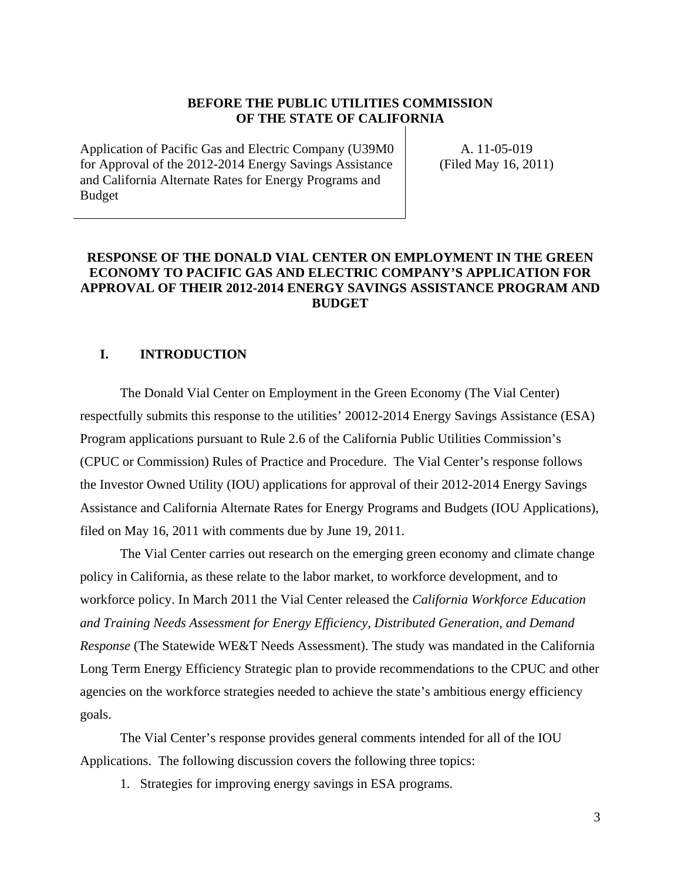### **BEFORE THE PUBLIC UTILITIES COMMISSION OF THE STATE OF CALIFORNIA**

Application of Pacific Gas and Electric Company (U39M0 for Approval of the 2012-2014 Energy Savings Assistance and California Alternate Rates for Energy Programs and Budget

A. 11-05-019 (Filed May 16, 2011)

# **RESPONSE OF THE DONALD VIAL CENTER ON EMPLOYMENT IN THE GREEN ECONOMY TO PACIFIC GAS AND ELECTRIC COMPANY'S APPLICATION FOR APPROVAL OF THEIR 2012-2014 ENERGY SAVINGS ASSISTANCE PROGRAM AND BUDGET**

## **I. INTRODUCTION**

The Donald Vial Center on Employment in the Green Economy (The Vial Center) respectfully submits this response to the utilities' 20012-2014 Energy Savings Assistance (ESA) Program applications pursuant to Rule 2.6 of the California Public Utilities Commission's (CPUC or Commission) Rules of Practice and Procedure. The Vial Center's response follows the Investor Owned Utility (IOU) applications for approval of their 2012-2014 Energy Savings Assistance and California Alternate Rates for Energy Programs and Budgets (IOU Applications), filed on May 16, 2011 with comments due by June 19, 2011.

The Vial Center carries out research on the emerging green economy and climate change policy in California, as these relate to the labor market, to workforce development, and to workforce policy. In March 2011 the Vial Center released the *California Workforce Education and Training Needs Assessment for Energy Efficiency, Distributed Generation, and Demand Response* (The Statewide WE&T Needs Assessment). The study was mandated in the California Long Term Energy Efficiency Strategic plan to provide recommendations to the CPUC and other agencies on the workforce strategies needed to achieve the state's ambitious energy efficiency goals.

The Vial Center's response provides general comments intended for all of the IOU Applications. The following discussion covers the following three topics:

1. Strategies for improving energy savings in ESA programs.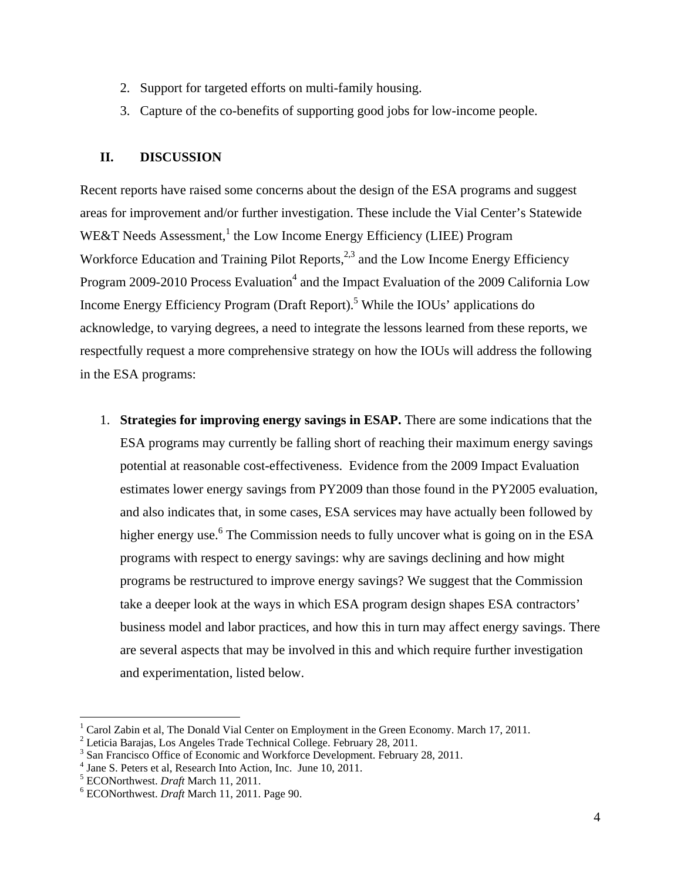- 2. Support for targeted efforts on multi-family housing.
- 3. Capture of the co-benefits of supporting good jobs for low-income people.

## **II. DISCUSSION**

Recent reports have raised some concerns about the design of the ESA programs and suggest areas for improvement and/or further investigation. These include the Vial Center's Statewide WE&T Needs Assessment,<sup>1</sup> the Low Income Energy Efficiency (LIEE) Program Workforce Education and Training Pilot Reports,  $2,3$  and the Low Income Energy Efficiency Program 2009-2010 Process Evaluation<sup>4</sup> and the Impact Evaluation of the 2009 California Low Income Energy Efficiency Program (Draft Report).<sup>5</sup> While the IOUs' applications do acknowledge, to varying degrees, a need to integrate the lessons learned from these reports, we respectfully request a more comprehensive strategy on how the IOUs will address the following in the ESA programs:

1. **Strategies for improving energy savings in ESAP.** There are some indications that the ESA programs may currently be falling short of reaching their maximum energy savings potential at reasonable cost-effectiveness. Evidence from the 2009 Impact Evaluation estimates lower energy savings from PY2009 than those found in the PY2005 evaluation, and also indicates that, in some cases, ESA services may have actually been followed by higher energy use.<sup>6</sup> The Commission needs to fully uncover what is going on in the ESA programs with respect to energy savings: why are savings declining and how might programs be restructured to improve energy savings? We suggest that the Commission take a deeper look at the ways in which ESA program design shapes ESA contractors' business model and labor practices, and how this in turn may affect energy savings. There are several aspects that may be involved in this and which require further investigation and experimentation, listed below.

<sup>&</sup>lt;sup>1</sup> Carol Zabin et al, The Donald Vial Center on Employment in the Green Economy. March 17, 2011.

<sup>&</sup>lt;sup>2</sup> Leticia Barajas, Los Angeles Trade Technical College. February 28, 2011.

<sup>&</sup>lt;sup>3</sup> San Francisco Office of Economic and Workforce Development. February 28, 2011.

<sup>&</sup>lt;sup>4</sup> Jane S. Peters et al, Research Into Action, Inc. June 10, 2011.

<sup>&</sup>lt;sup>5</sup> ECONorthwest. *Draft* March 11, 2011.

ECONorthwest. *Draft* March 11, 2011. Page 90.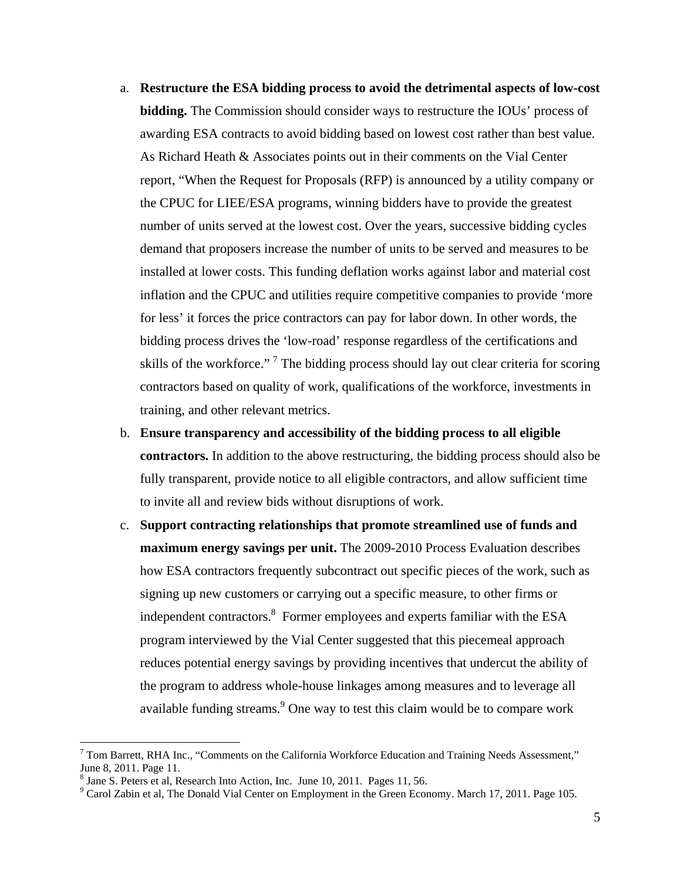- a. **Restructure the ESA bidding process to avoid the detrimental aspects of low-cost bidding.** The Commission should consider ways to restructure the IOUs' process of awarding ESA contracts to avoid bidding based on lowest cost rather than best value. As Richard Heath & Associates points out in their comments on the Vial Center report, "When the Request for Proposals (RFP) is announced by a utility company or the CPUC for LIEE/ESA programs, winning bidders have to provide the greatest number of units served at the lowest cost. Over the years, successive bidding cycles demand that proposers increase the number of units to be served and measures to be installed at lower costs. This funding deflation works against labor and material cost inflation and the CPUC and utilities require competitive companies to provide 'more for less' it forces the price contractors can pay for labor down. In other words, the bidding process drives the 'low-road' response regardless of the certifications and skills of the workforce."<sup>7</sup> The bidding process should lay out clear criteria for scoring contractors based on quality of work, qualifications of the workforce, investments in training, and other relevant metrics.
- b. **Ensure transparency and accessibility of the bidding process to all eligible contractors.** In addition to the above restructuring, the bidding process should also be fully transparent, provide notice to all eligible contractors, and allow sufficient time to invite all and review bids without disruptions of work.
- c. **Support contracting relationships that promote streamlined use of funds and maximum energy savings per unit.** The 2009-2010 Process Evaluation describes how ESA contractors frequently subcontract out specific pieces of the work, such as signing up new customers or carrying out a specific measure, to other firms or independent contractors.<sup>8</sup> Former employees and experts familiar with the ESA program interviewed by the Vial Center suggested that this piecemeal approach reduces potential energy savings by providing incentives that undercut the ability of the program to address whole-house linkages among measures and to leverage all available funding streams.  $9^{\circ}$  One way to test this claim would be to compare work

 $7$  Tom Barrett, RHA Inc., "Comments on the California Workforce Education and Training Needs Assessment," June 8, 2011. Page 11.

<sup>&</sup>lt;sup>8</sup> Jane S. Peters et al, Research Into Action, Inc. June 10, 2011. Pages 11, 56.

 $9^9$  Carol Zabin et al, The Donald Vial Center on Employment in the Green Economy. March 17, 2011. Page 105.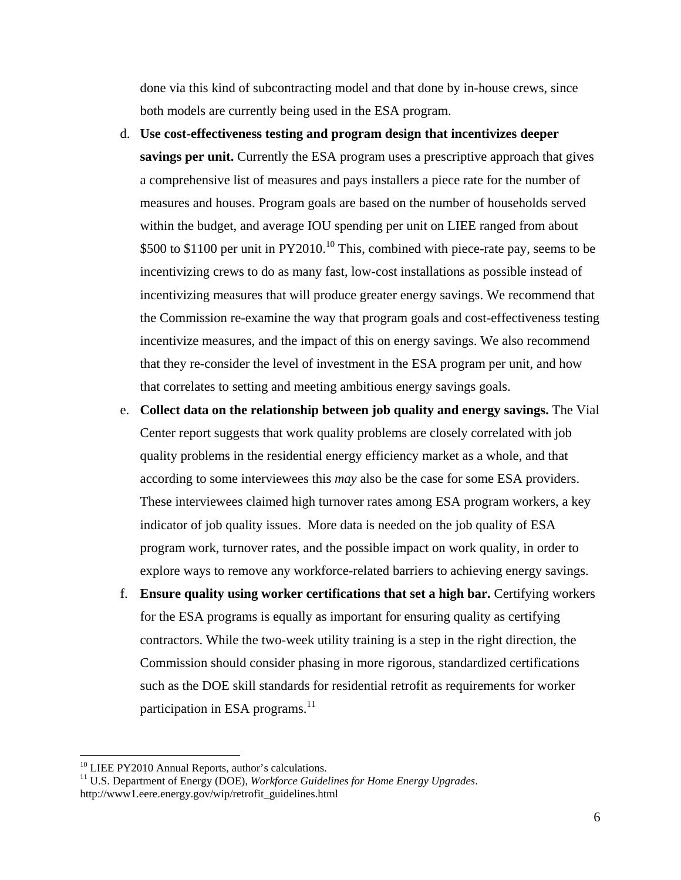done via this kind of subcontracting model and that done by in-house crews, since both models are currently being used in the ESA program.

- d. **Use cost-effectiveness testing and program design that incentivizes deeper savings per unit.** Currently the ESA program uses a prescriptive approach that gives a comprehensive list of measures and pays installers a piece rate for the number of measures and houses. Program goals are based on the number of households served within the budget, and average IOU spending per unit on LIEE ranged from about \$500 to \$1100 per unit in PY2010.<sup>10</sup> This, combined with piece-rate pay, seems to be incentivizing crews to do as many fast, low-cost installations as possible instead of incentivizing measures that will produce greater energy savings. We recommend that the Commission re-examine the way that program goals and cost-effectiveness testing incentivize measures, and the impact of this on energy savings. We also recommend that they re-consider the level of investment in the ESA program per unit, and how that correlates to setting and meeting ambitious energy savings goals.
- e. **Collect data on the relationship between job quality and energy savings.** The Vial Center report suggests that work quality problems are closely correlated with job quality problems in the residential energy efficiency market as a whole, and that according to some interviewees this *may* also be the case for some ESA providers. These interviewees claimed high turnover rates among ESA program workers, a key indicator of job quality issues. More data is needed on the job quality of ESA program work, turnover rates, and the possible impact on work quality, in order to explore ways to remove any workforce-related barriers to achieving energy savings.
- f. **Ensure quality using worker certifications that set a high bar.** Certifying workers for the ESA programs is equally as important for ensuring quality as certifying contractors. While the two-week utility training is a step in the right direction, the Commission should consider phasing in more rigorous, standardized certifications such as the DOE skill standards for residential retrofit as requirements for worker participation in ESA programs.<sup>11</sup>

<sup>&</sup>lt;sup>10</sup> LIEE PY2010 Annual Reports, author's calculations.<br><sup>11</sup> U.S. Department of Energy (DOE), *Workforce Guidelines for Home Energy Upgrades*. http://www1.eere.energy.gov/wip/retrofit\_guidelines.html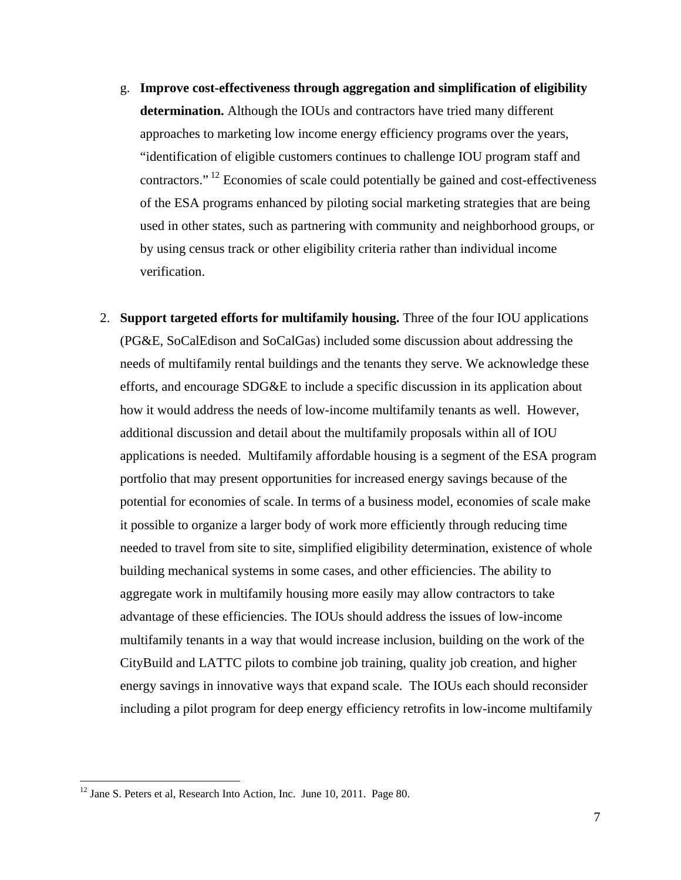- g. **Improve cost-effectiveness through aggregation and simplification of eligibility determination.** Although the IOUs and contractors have tried many different approaches to marketing low income energy efficiency programs over the years, "identification of eligible customers continues to challenge IOU program staff and contractors." 12 Economies of scale could potentially be gained and cost-effectiveness of the ESA programs enhanced by piloting social marketing strategies that are being used in other states, such as partnering with community and neighborhood groups, or by using census track or other eligibility criteria rather than individual income verification.
- 2. **Support targeted efforts for multifamily housing.** Three of the four IOU applications (PG&E, SoCalEdison and SoCalGas) included some discussion about addressing the needs of multifamily rental buildings and the tenants they serve. We acknowledge these efforts, and encourage SDG&E to include a specific discussion in its application about how it would address the needs of low-income multifamily tenants as well. However, additional discussion and detail about the multifamily proposals within all of IOU applications is needed. Multifamily affordable housing is a segment of the ESA program portfolio that may present opportunities for increased energy savings because of the potential for economies of scale. In terms of a business model, economies of scale make it possible to organize a larger body of work more efficiently through reducing time needed to travel from site to site, simplified eligibility determination, existence of whole building mechanical systems in some cases, and other efficiencies. The ability to aggregate work in multifamily housing more easily may allow contractors to take advantage of these efficiencies. The IOUs should address the issues of low-income multifamily tenants in a way that would increase inclusion, building on the work of the CityBuild and LATTC pilots to combine job training, quality job creation, and higher energy savings in innovative ways that expand scale. The IOUs each should reconsider including a pilot program for deep energy efficiency retrofits in low-income multifamily

<sup>&</sup>lt;sup>12</sup> Jane S. Peters et al, Research Into Action, Inc. June 10, 2011. Page 80.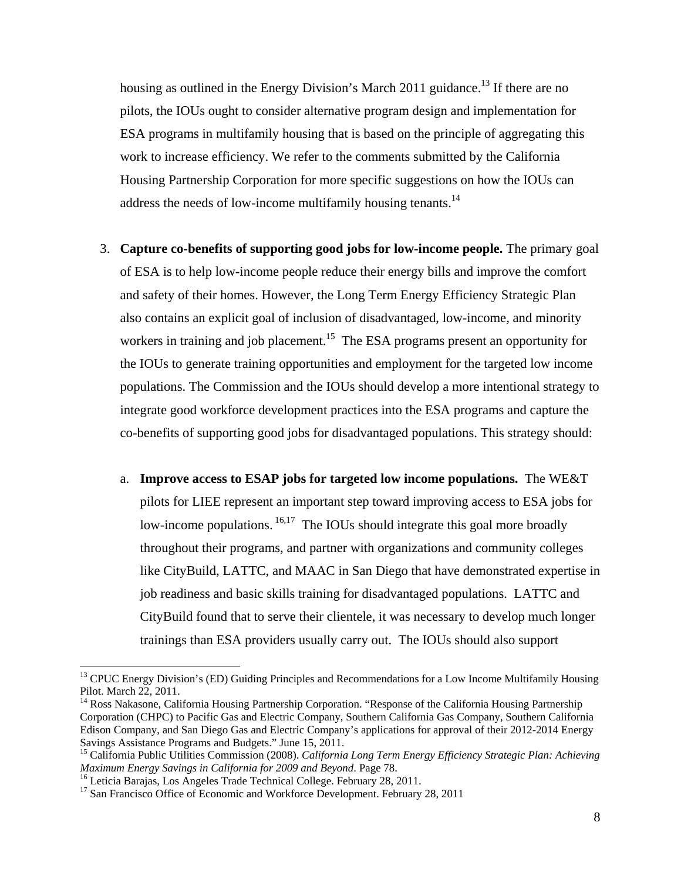housing as outlined in the Energy Division's March 2011 guidance.<sup>13</sup> If there are no pilots, the IOUs ought to consider alternative program design and implementation for ESA programs in multifamily housing that is based on the principle of aggregating this work to increase efficiency. We refer to the comments submitted by the California Housing Partnership Corporation for more specific suggestions on how the IOUs can address the needs of low-income multifamily housing tenants.<sup>14</sup>

- 3. **Capture co-benefits of supporting good jobs for low-income people.** The primary goal of ESA is to help low-income people reduce their energy bills and improve the comfort and safety of their homes. However, the Long Term Energy Efficiency Strategic Plan also contains an explicit goal of inclusion of disadvantaged, low-income, and minority workers in training and job placement.<sup>15</sup> The ESA programs present an opportunity for the IOUs to generate training opportunities and employment for the targeted low income populations. The Commission and the IOUs should develop a more intentional strategy to integrate good workforce development practices into the ESA programs and capture the co-benefits of supporting good jobs for disadvantaged populations. This strategy should:
	- a. **Improve access to ESAP jobs for targeted low income populations.** The WE&T pilots for LIEE represent an important step toward improving access to ESA jobs for low-income populations. <sup>16,17</sup> The IOUs should integrate this goal more broadly throughout their programs, and partner with organizations and community colleges like CityBuild, LATTC, and MAAC in San Diego that have demonstrated expertise in job readiness and basic skills training for disadvantaged populations. LATTC and CityBuild found that to serve their clientele, it was necessary to develop much longer trainings than ESA providers usually carry out. The IOUs should also support

1

<sup>&</sup>lt;sup>13</sup> CPUC Energy Division's (ED) Guiding Principles and Recommendations for a Low Income Multifamily Housing Pilot. March 22, 2011.

<sup>&</sup>lt;sup>14</sup> Ross Nakasone, California Housing Partnership Corporation. "Response of the California Housing Partnership Corporation (CHPC) to Pacific Gas and Electric Company, Southern California Gas Company, Southern California Edison Company, and San Diego Gas and Electric Company's applications for approval of their 2012-2014 Energy Savings Assistance Programs and Budgets." June 15, 2011.

<sup>&</sup>lt;sup>15</sup> California Public Utilities Commission (2008). *California Long Term Energy Efficiency Strategic Plan: Achieving Maximum Energy Savings in California for 2009 and Beyond. Page 78.* 

<sup>&</sup>lt;sup>16</sup> Leticia Barajas, Los Angeles Trade Technical College. February 28, 2011.

<sup>&</sup>lt;sup>17</sup> San Francisco Office of Economic and Workforce Development. February 28, 2011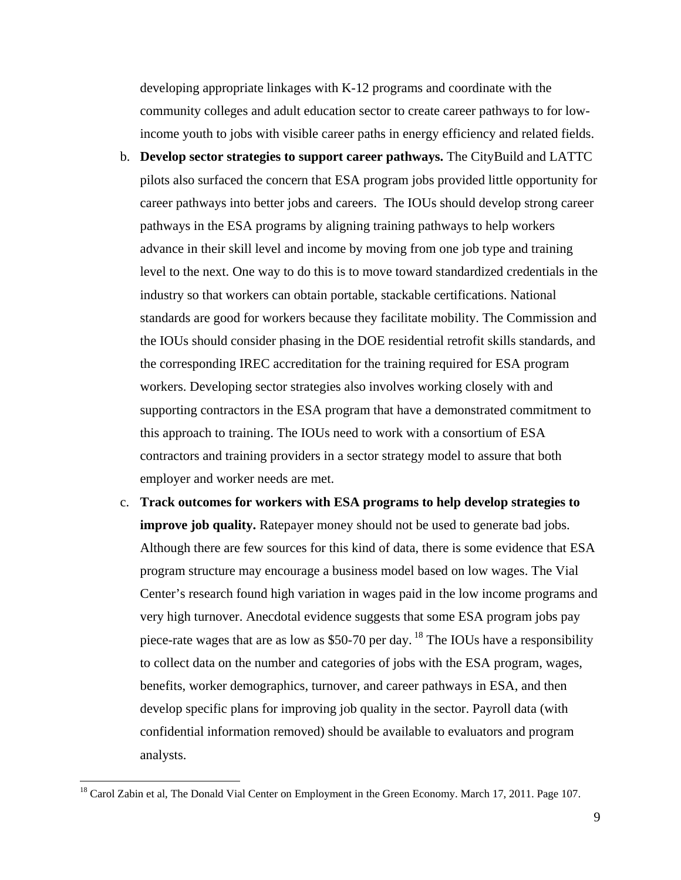developing appropriate linkages with K-12 programs and coordinate with the community colleges and adult education sector to create career pathways to for lowincome youth to jobs with visible career paths in energy efficiency and related fields.

- b. **Develop sector strategies to support career pathways.** The CityBuild and LATTC pilots also surfaced the concern that ESA program jobs provided little opportunity for career pathways into better jobs and careers. The IOUs should develop strong career pathways in the ESA programs by aligning training pathways to help workers advance in their skill level and income by moving from one job type and training level to the next. One way to do this is to move toward standardized credentials in the industry so that workers can obtain portable, stackable certifications. National standards are good for workers because they facilitate mobility. The Commission and the IOUs should consider phasing in the DOE residential retrofit skills standards, and the corresponding IREC accreditation for the training required for ESA program workers. Developing sector strategies also involves working closely with and supporting contractors in the ESA program that have a demonstrated commitment to this approach to training. The IOUs need to work with a consortium of ESA contractors and training providers in a sector strategy model to assure that both employer and worker needs are met.
- c. **Track outcomes for workers with ESA programs to help develop strategies to improve job quality.** Ratepayer money should not be used to generate bad jobs. Although there are few sources for this kind of data, there is some evidence that ESA program structure may encourage a business model based on low wages. The Vial Center's research found high variation in wages paid in the low income programs and very high turnover. Anecdotal evidence suggests that some ESA program jobs pay piece-rate wages that are as low as \$50-70 per day. <sup>18</sup> The IOUs have a responsibility to collect data on the number and categories of jobs with the ESA program, wages, benefits, worker demographics, turnover, and career pathways in ESA, and then develop specific plans for improving job quality in the sector. Payroll data (with confidential information removed) should be available to evaluators and program analysts.

<u>.</u>

<sup>&</sup>lt;sup>18</sup> Carol Zabin et al, The Donald Vial Center on Employment in the Green Economy. March 17, 2011. Page 107.